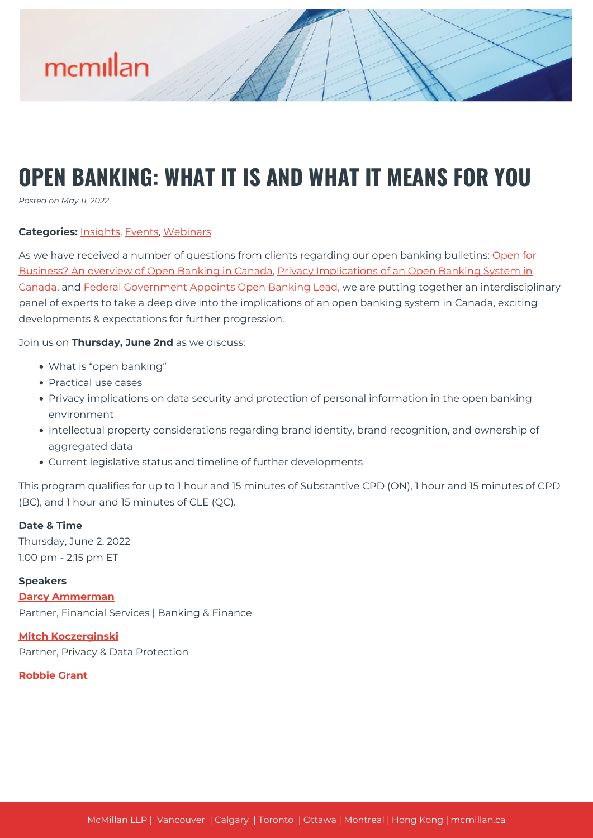

# **OPEN BANKING: WHAT IT IS AND WHAT IT MEANS FOR YOU**

*Posted on May 11, 2022*

#### **Categories:** [Insights,](https://mcmillan.ca/insights/) [Events](https://mcmillan.ca/insights/events/), [Webinars](https://mcmillan.ca/insights/webinars/)

As we have received a number of questions from clients regarding our open banking bulletins: [Open for](https://mcmillan.ca/insights/open-for-business-an-overview-of-open-banking-in-canada/) [Business? An overview of Open Banking in Canada,](https://mcmillan.ca/insights/open-for-business-an-overview-of-open-banking-in-canada/) [Privacy Implications of an Open Banking System in](https://mcmillan.ca/insights/privacy-implications-of-an-open-banking-system-in-canada/) [Canada](https://mcmillan.ca/insights/privacy-implications-of-an-open-banking-system-in-canada/), and [Federal Government Appoints Open Banking Lead](https://mcmillan.ca/insights/federal-government-appoints-open-banking-lead/), we are putting together an interdisciplinary panel of experts to take a deep dive into the implications of an open banking system in Canada, exciting developments & expectations for further progression.

Join us on **Thursday, June 2nd** as we discuss:

- What is "open banking"
- Practical use cases
- Privacy implications on data security and protection of personal information in the open banking environment
- Intellectual property considerations regarding brand identity, brand recognition, and ownership of aggregated data
- Current legislative status and timeline of further developments

This program qualifies for up to 1 hour and 15 minutes of Substantive CPD (ON), 1 hour and 15 minutes of CPD (BC), and 1 hour and 15 minutes of CLE (QC).

#### **Date & Time**

Thursday, June 2, 2022 1:00 pm - 2:15 pm ET

#### **Speakers**

**[Darcy Ammerman](https://mcmillan.ca/people/darcy-ammerman/)** Partner, Financial Services | Banking & Finance

**[Mitch Koczerginski](https://mcmillan.ca/people/mitchell-koczerginski/)** Partner, Privacy & Data Protection

#### **[Robbie Grant](https://mcmillan.ca/people/robbie-grant/)**